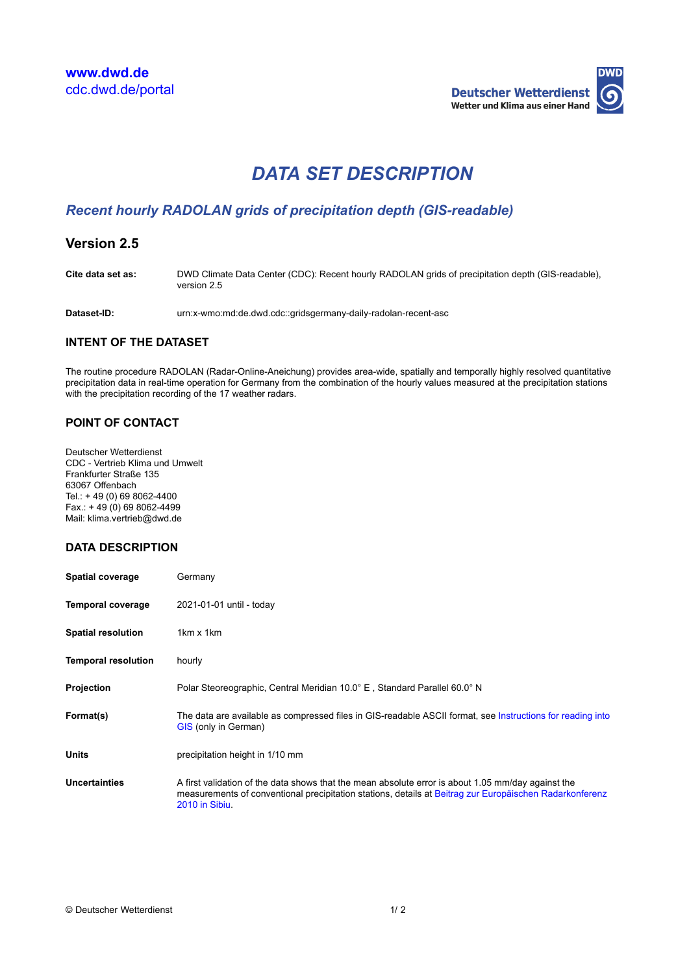

# *DATA SET DESCRIPTION*

# *Recent hourly RADOLAN grids of precipitation depth (GIS-readable)*

# **Version 2.5**

**Cite data set as:** DWD Climate Data Center (CDC): Recent hourly RADOLAN grids of precipitation depth (GIS-readable), version 2.5

**Dataset-ID:** urn:x-wmo:md:de.dwd.cdc::gridsgermany-daily-radolan-recent-asc

#### **INTENT OF THE DATASET**

The routine procedure RADOLAN (Radar-Online-Aneichung) provides area-wide, spatially and temporally highly resolved quantitative precipitation data in real-time operation for Germany from the combination of the hourly values measured at the precipitation stations with the precipitation recording of the 17 weather radars.

## **POINT OF CONTACT**

Deutscher Wetterdienst CDC - Vertrieb Klima und Umwelt Frankfurter Straße 135 63067 Offenbach Tel.: + 49 (0) 69 8062-4400  $Fax.: + 49(0)698062-4499$ Mail: klima.vertrieb@dwd.de

#### **DATA DESCRIPTION**

| <b>Spatial coverage</b>    | Germany                                                                                                                                                                                                                         |
|----------------------------|---------------------------------------------------------------------------------------------------------------------------------------------------------------------------------------------------------------------------------|
| <b>Temporal coverage</b>   | 2021-01-01 until - today                                                                                                                                                                                                        |
| <b>Spatial resolution</b>  | $1km \times 1km$                                                                                                                                                                                                                |
| <b>Temporal resolution</b> | hourly                                                                                                                                                                                                                          |
| Projection                 | Polar Steoreographic, Central Meridian 10.0° E, Standard Parallel 60.0° N                                                                                                                                                       |
| Format(s)                  | The data are available as compressed files in GIS-readable ASCII format, see Instructions for reading into<br>GIS (only in German)                                                                                              |
| <b>Units</b>               | precipitation height in 1/10 mm                                                                                                                                                                                                 |
| Uncertainties              | A first validation of the data shows that the mean absolute error is about 1.05 mm/day against the<br>measurements of conventional precipitation stations, details at Beitrag zur Europäischen Radarkonferenz<br>2010 in Sibiu. |